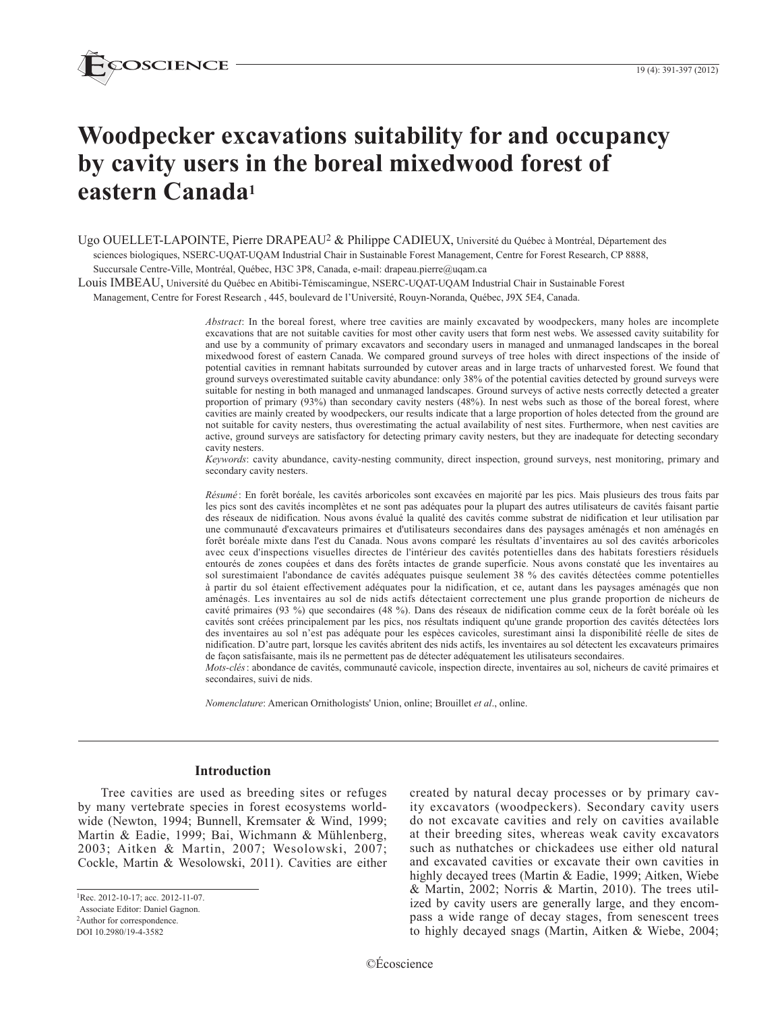

# **Woodpecker excavations suitability for and occupancy by cavity users in the boreal mixedwood forest of eastern Canada1**

Ugo OUELLET-LAPOINTE, Pierre DRAPEAU<sup>2</sup> & Philippe CADIEUX, Université du Québec à Montréal, Département des sciences biologiques, NSERC-UQAT-UQAM Industrial Chair in Sustainable Forest Management, Centre for Forest Research, CP 8888, Succursale Centre-Ville, Montréal, Québec, H3C 3P8, Canada, e-mail: drapeau.pierre@uqam.ca

Louis IMBEAU, Université du Québec en Abitibi-Témiscamingue, NSERC-UQAT-UQAM Industrial Chair in Sustainable Forest

Management, Centre for Forest Research , 445, boulevard de l'Université, Rouyn-Noranda, Québec, J9X 5E4, Canada.

*Abstract*: In the boreal forest, where tree cavities are mainly excavated by woodpeckers, many holes are incomplete excavations that are not suitable cavities for most other cavity users that form nest webs. We assessed cavity suitability for and use by a community of primary excavators and secondary users in managed and unmanaged landscapes in the boreal mixedwood forest of eastern Canada. We compared ground surveys of tree holes with direct inspections of the inside of potential cavities in remnant habitats surrounded by cutover areas and in large tracts of unharvested forest. We found that ground surveys overestimated suitable cavity abundance: only 38% of the potential cavities detected by ground surveys were suitable for nesting in both managed and unmanaged landscapes. Ground surveys of active nests correctly detected a greater proportion of primary (93%) than secondary cavity nesters (48%). In nest webs such as those of the boreal forest, where cavities are mainly created by woodpeckers, our results indicate that a large proportion of holes detected from the ground are not suitable for cavity nesters, thus overestimating the actual availability of nest sites. Furthermore, when nest cavities are active, ground surveys are satisfactory for detecting primary cavity nesters, but they are inadequate for detecting secondary cavity nesters.

*Keywords*: cavity abundance, cavity-nesting community, direct inspection, ground surveys, nest monitoring, primary and secondary cavity nesters.

*Résumé* : En forêt boréale, les cavités arboricoles sont excavées en majorité par les pics. Mais plusieurs des trous faits par les pics sont des cavités incomplètes et ne sont pas adéquates pour la plupart des autres utilisateurs de cavités faisant partie des réseaux de nidification. Nous avons évalué la qualité des cavités comme substrat de nidification et leur utilisation par une communauté d'excavateurs primaires et d'utilisateurs secondaires dans des paysages aménagés et non aménagés en forêt boréale mixte dans l'est du Canada. Nous avons comparé les résultats d'inventaires au sol des cavités arboricoles avec ceux d'inspections visuelles directes de l'intérieur des cavités potentielles dans des habitats forestiers résiduels entourés de zones coupées et dans des forêts intactes de grande superficie. Nous avons constaté que les inventaires au sol surestimaient l'abondance de cavités adéquates puisque seulement 38 % des cavités détectées comme potentielles à partir du sol étaient effectivement adéquates pour la nidification, et ce, autant dans les paysages aménagés que non aménagés. Les inventaires au sol de nids actifs détectaient correctement une plus grande proportion de nicheurs de cavité primaires (93 %) que secondaires (48 %). Dans des réseaux de nidification comme ceux de la forêt boréale où les cavités sont créées principalement par les pics, nos résultats indiquent qu'une grande proportion des cavités détectées lors des inventaires au sol n'est pas adéquate pour les espèces cavicoles, surestimant ainsi la disponibilité réelle de sites de nidification. D'autre part, lorsque les cavités abritent des nids actifs, les inventaires au sol détectent les excavateurs primaires de façon satisfaisante, mais ils ne permettent pas de détecter adéquatement les utilisateurs secondaires.

*Mots-clés*: abondance de cavités, communauté cavicole, inspection directe, inventaires au sol, nicheurs de cavité primaires et secondaires, suivi de nids.

*Nomenclature*: American Ornithologists' Union, online; Brouillet *et al*., online.

### **Introduction**

Tree cavities are used as breeding sites or refuges by many vertebrate species in forest ecosystems worldwide (Newton, 1994; Bunnell, Kremsater & Wind, 1999; Martin & Eadie, 1999; Bai, Wichmann & Mühlenberg, 2003; Aitken & Martin, 2007; Wesolowski, 2007; Cockle, Martin & Wesolowski, 2011). Cavities are either

1Rec. 2012-10-17; acc. 2012-11-07.

 Associate Editor: Daniel Gagnon. 2Author for correspondence.

DOI 10.2980/19-4-3582

created by natural decay processes or by primary cavity excavators (woodpeckers). Secondary cavity users do not excavate cavities and rely on cavities available at their breeding sites, whereas weak cavity excavators such as nuthatches or chickadees use either old natural and excavated cavities or excavate their own cavities in highly decayed trees (Martin & Eadie, 1999; Aitken, Wiebe & Martin, 2002; Norris & Martin, 2010). The trees utilized by cavity users are generally large, and they encompass a wide range of decay stages, from senescent trees to highly decayed snags (Martin, Aitken & Wiebe, 2004;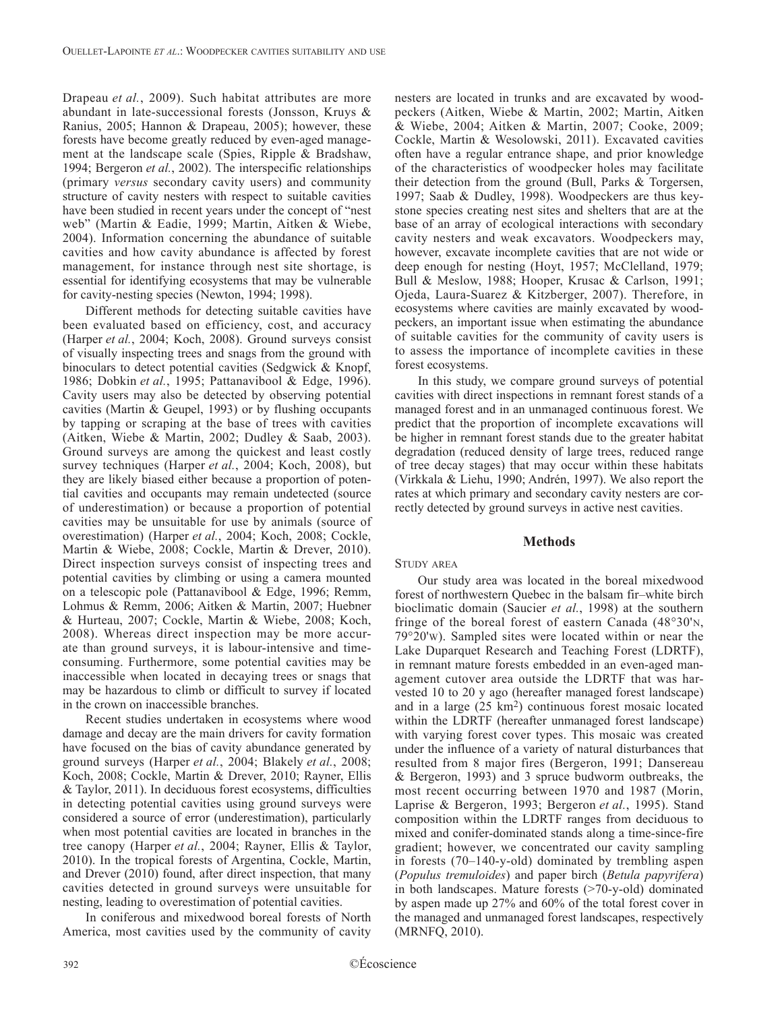Drapeau *et al.*, 2009). Such habitat attributes are more abundant in late-successional forests (Jonsson, Kruys & Ranius, 2005; Hannon & Drapeau, 2005); however, these forests have become greatly reduced by even-aged management at the landscape scale (Spies, Ripple & Bradshaw, 1994; Bergeron *et al.*, 2002). The interspecific relationships (primary *versus* secondary cavity users) and community structure of cavity nesters with respect to suitable cavities have been studied in recent years under the concept of "nest web" (Martin & Eadie, 1999; Martin, Aitken & Wiebe, 2004). Information concerning the abundance of suitable cavities and how cavity abundance is affected by forest management, for instance through nest site shortage, is essential for identifying ecosystems that may be vulnerable for cavity-nesting species (Newton, 1994; 1998).

Different methods for detecting suitable cavities have been evaluated based on efficiency, cost, and accuracy (Harper *et al.*, 2004; Koch, 2008). Ground surveys consist of visually inspecting trees and snags from the ground with binoculars to detect potential cavities (Sedgwick & Knopf, 1986; Dobkin *et al.*, 1995; Pattanavibool & Edge, 1996). Cavity users may also be detected by observing potential cavities (Martin & Geupel, 1993) or by flushing occupants by tapping or scraping at the base of trees with cavities (Aitken, Wiebe & Martin, 2002; Dudley & Saab, 2003). Ground surveys are among the quickest and least costly survey techniques (Harper *et al.*, 2004; Koch, 2008), but they are likely biased either because a proportion of potential cavities and occupants may remain undetected (source of underestimation) or because a proportion of potential cavities may be unsuitable for use by animals (source of overestimation) (Harper *et al.*, 2004; Koch, 2008; Cockle, Martin & Wiebe, 2008; Cockle, Martin & Drever, 2010). Direct inspection surveys consist of inspecting trees and potential cavities by climbing or using a camera mounted on a telescopic pole (Pattanavibool & Edge, 1996; Remm, Lohmus & Remm, 2006; Aitken & Martin, 2007; Huebner & Hurteau, 2007; Cockle, Martin & Wiebe, 2008; Koch, 2008). Whereas direct inspection may be more accurate than ground surveys, it is labour-intensive and timeconsuming. Furthermore, some potential cavities may be inaccessible when located in decaying trees or snags that may be hazardous to climb or difficult to survey if located in the crown on inaccessible branches.

Recent studies undertaken in ecosystems where wood damage and decay are the main drivers for cavity formation have focused on the bias of cavity abundance generated by ground surveys (Harper *et al.*, 2004; Blakely *et al.*, 2008; Koch, 2008; Cockle, Martin & Drever, 2010; Rayner, Ellis & Taylor, 2011). In deciduous forest ecosystems, difficulties in detecting potential cavities using ground surveys were considered a source of error (underestimation), particularly when most potential cavities are located in branches in the tree canopy (Harper *et al.*, 2004; Rayner, Ellis & Taylor, 2010). In the tropical forests of Argentina, Cockle, Martin, and Drever (2010) found, after direct inspection, that many cavities detected in ground surveys were unsuitable for nesting, leading to overestimation of potential cavities.

In coniferous and mixedwood boreal forests of North America, most cavities used by the community of cavity nesters are located in trunks and are excavated by woodpeckers (Aitken, Wiebe & Martin, 2002; Martin, Aitken & Wiebe, 2004; Aitken & Martin, 2007; Cooke, 2009; Cockle, Martin & Wesolowski, 2011). Excavated cavities often have a regular entrance shape, and prior knowledge of the characteristics of woodpecker holes may facilitate their detection from the ground (Bull, Parks & Torgersen, 1997; Saab & Dudley, 1998). Woodpeckers are thus keystone species creating nest sites and shelters that are at the base of an array of ecological interactions with secondary cavity nesters and weak excavators. Woodpeckers may, however, excavate incomplete cavities that are not wide or deep enough for nesting (Hoyt, 1957; McClelland, 1979; Bull & Meslow, 1988; Hooper, Krusac & Carlson, 1991; Ojeda, Laura-Suarez & Kitzberger, 2007). Therefore, in ecosystems where cavities are mainly excavated by woodpeckers, an important issue when estimating the abundance of suitable cavities for the community of cavity users is to assess the importance of incomplete cavities in these forest ecosystems.

In this study, we compare ground surveys of potential cavities with direct inspections in remnant forest stands of a managed forest and in an unmanaged continuous forest. We predict that the proportion of incomplete excavations will be higher in remnant forest stands due to the greater habitat degradation (reduced density of large trees, reduced range of tree decay stages) that may occur within these habitats (Virkkala & Liehu, 1990; Andrén, 1997). We also report the rates at which primary and secondary cavity nesters are correctly detected by ground surveys in active nest cavities.

#### **Methods**

## STUDY AREA

Our study area was located in the boreal mixedwood forest of northwestern Quebec in the balsam fir–white birch bioclimatic domain (Saucier *et al.*, 1998) at the southern fringe of the boreal forest of eastern Canada (48°30'n, 79°20'w). Sampled sites were located within or near the Lake Duparquet Research and Teaching Forest (LDRTF), in remnant mature forests embedded in an even-aged management cutover area outside the LDRTF that was harvested 10 to 20 y ago (hereafter managed forest landscape) and in a large  $(25 \text{ km}^2)$  continuous forest mosaic located within the LDRTF (hereafter unmanaged forest landscape) with varying forest cover types. This mosaic was created under the influence of a variety of natural disturbances that resulted from 8 major fires (Bergeron, 1991; Dansereau & Bergeron, 1993) and 3 spruce budworm outbreaks, the most recent occurring between 1970 and 1987 (Morin, Laprise & Bergeron, 1993; Bergeron *et al.*, 1995). Stand composition within the LDRTF ranges from deciduous to mixed and conifer-dominated stands along a time-since-fire gradient; however, we concentrated our cavity sampling in forests (70–140-y-old) dominated by trembling aspen (*Populus tremuloides*) and paper birch (*Betula papyrifera*) in both landscapes. Mature forests (>70-y-old) dominated by aspen made up 27% and 60% of the total forest cover in the managed and unmanaged forest landscapes, respectively (MRNFQ, 2010).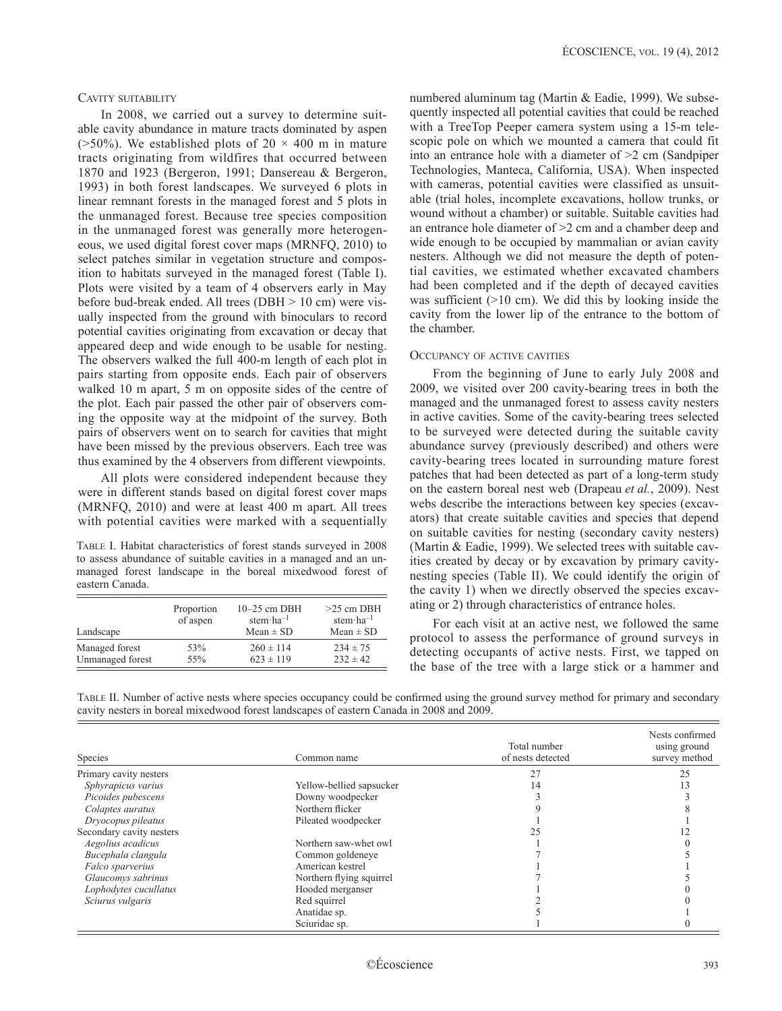## CAVITY SUITABILITY

In 2008, we carried out a survey to determine suitable cavity abundance in mature tracts dominated by aspen ( $>50\%$ ). We established plots of 20  $\times$  400 m in mature tracts originating from wildfires that occurred between 1870 and 1923 (Bergeron, 1991; Dansereau & Bergeron, 1993) in both forest landscapes. We surveyed 6 plots in linear remnant forests in the managed forest and 5 plots in the unmanaged forest. Because tree species composition in the unmanaged forest was generally more heterogeneous, we used digital forest cover maps (MRNFQ, 2010) to select patches similar in vegetation structure and composition to habitats surveyed in the managed forest (Table I). Plots were visited by a team of 4 observers early in May before bud-break ended. All trees (DBH > 10 cm) were visually inspected from the ground with binoculars to record potential cavities originating from excavation or decay that appeared deep and wide enough to be usable for nesting. The observers walked the full 400-m length of each plot in pairs starting from opposite ends. Each pair of observers walked 10 m apart, 5 m on opposite sides of the centre of the plot. Each pair passed the other pair of observers coming the opposite way at the midpoint of the survey. Both pairs of observers went on to search for cavities that might have been missed by the previous observers. Each tree was thus examined by the 4 observers from different viewpoints.

All plots were considered independent because they were in different stands based on digital forest cover maps (MRNFQ, 2010) and were at least 400 m apart. All trees with potential cavities were marked with a sequentially

Table I. Habitat characteristics of forest stands surveyed in 2008 to assess abundance of suitable cavities in a managed and an unmanaged forest landscape in the boreal mixedwood forest of eastern Canada.

| Landscape        | Proportion<br>of aspen | $10-25$ cm DBH<br>stem $\cdot$ ha <sup>-1</sup><br>$Mean \pm SD$ | $>25$ cm DBH<br>stem $\cdot$ ha <sup>-1</sup><br>$Mean \pm SD$ |
|------------------|------------------------|------------------------------------------------------------------|----------------------------------------------------------------|
| Managed forest   | 53%                    | $260 \pm 114$                                                    | $234 \pm 75$                                                   |
| Unmanaged forest | 55%                    | $623 \pm 119$                                                    | $232 \pm 42$                                                   |

numbered aluminum tag (Martin & Eadie, 1999). We subsequently inspected all potential cavities that could be reached with a TreeTop Peeper camera system using a 15-m telescopic pole on which we mounted a camera that could fit into an entrance hole with a diameter of >2 cm (Sandpiper Technologies, Manteca, California, USA). When inspected with cameras, potential cavities were classified as unsuitable (trial holes, incomplete excavations, hollow trunks, or wound without a chamber) or suitable. Suitable cavities had an entrance hole diameter of >2 cm and a chamber deep and wide enough to be occupied by mammalian or avian cavity nesters. Although we did not measure the depth of potential cavities, we estimated whether excavated chambers had been completed and if the depth of decayed cavities was sufficient  $(>10 \text{ cm})$ . We did this by looking inside the cavity from the lower lip of the entrance to the bottom of the chamber.

### Occupancy of active cavities

From the beginning of June to early July 2008 and 2009, we visited over 200 cavity-bearing trees in both the managed and the unmanaged forest to assess cavity nesters in active cavities. Some of the cavity-bearing trees selected to be surveyed were detected during the suitable cavity abundance survey (previously described) and others were cavity-bearing trees located in surrounding mature forest patches that had been detected as part of a long-term study on the eastern boreal nest web (Drapeau *et al.*, 2009). Nest webs describe the interactions between key species (excavators) that create suitable cavities and species that depend on suitable cavities for nesting (secondary cavity nesters) (Martin & Eadie, 1999). We selected trees with suitable cavities created by decay or by excavation by primary cavitynesting species (Table II). We could identify the origin of the cavity 1) when we directly observed the species excavating or 2) through characteristics of entrance holes.

For each visit at an active nest, we followed the same protocol to assess the performance of ground surveys in detecting occupants of active nests. First, we tapped on the base of the tree with a large stick or a hammer and

| TABLE II. Number of active nests where species occupancy could be confirmed using the ground survey method for primary and secondary |  |  |  |  |  |
|--------------------------------------------------------------------------------------------------------------------------------------|--|--|--|--|--|
| cavity nesters in boreal mixedwood forest landscapes of eastern Canada in 2008 and 2009.                                             |  |  |  |  |  |

| Species                  | Common name              | Total number<br>of nests detected | Nests confirmed<br>using ground<br>survey method |
|--------------------------|--------------------------|-----------------------------------|--------------------------------------------------|
| Primary cavity nesters   |                          |                                   |                                                  |
| Sphyrapicus varius       | Yellow-bellied sapsucker | 14                                |                                                  |
| Picoides pubescens       | Downy woodpecker         |                                   |                                                  |
| Colaptes auratus         | Northern flicker         |                                   |                                                  |
| Dryocopus pileatus       | Pileated woodpecker      |                                   |                                                  |
| Secondary cavity nesters |                          |                                   |                                                  |
| Aegolius acadicus        | Northern saw-whet owl    |                                   |                                                  |
| Bucephala clangula       | Common goldeneye         |                                   |                                                  |
| Falco sparverius         | American kestrel         |                                   |                                                  |
| Glaucomys sabrinus       | Northern flying squirrel |                                   |                                                  |
| Lophodytes cucullatus    | Hooded merganser         |                                   |                                                  |
| Sciurus vulgaris         | Red squirrel             |                                   |                                                  |
|                          | Anatidae sp.             |                                   |                                                  |
|                          | Sciuridae sp.            |                                   |                                                  |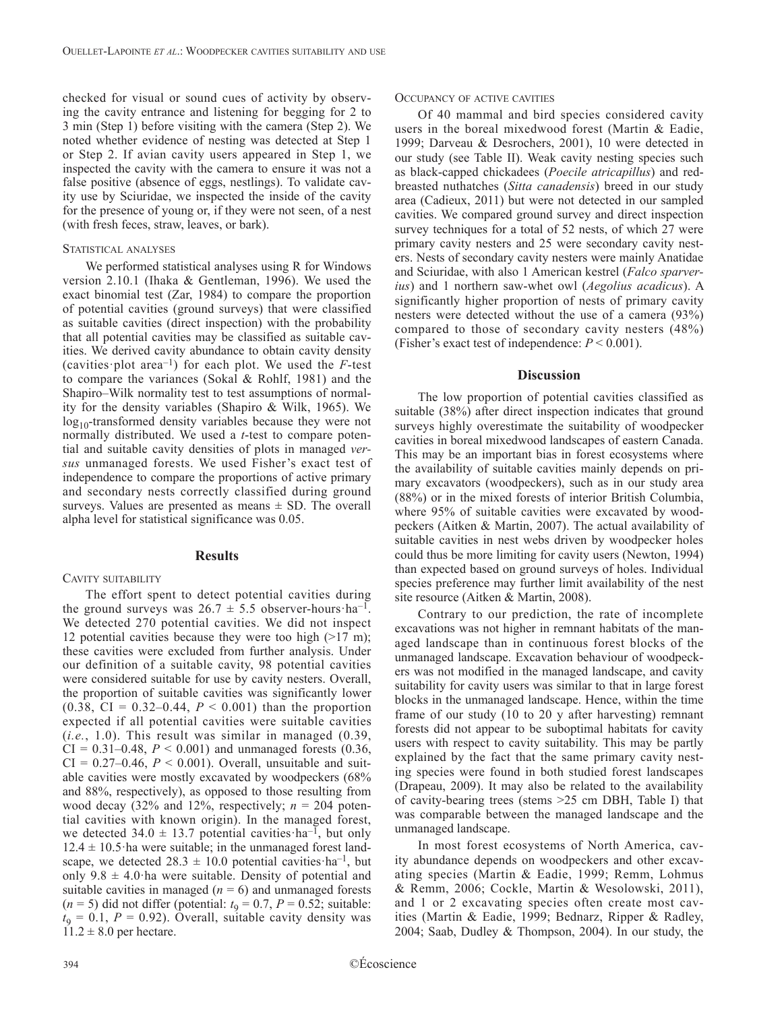checked for visual or sound cues of activity by observing the cavity entrance and listening for begging for 2 to 3 min (Step 1) before visiting with the camera (Step 2). We noted whether evidence of nesting was detected at Step 1 or Step 2. If avian cavity users appeared in Step 1, we inspected the cavity with the camera to ensure it was not a false positive (absence of eggs, nestlings). To validate cavity use by Sciuridae, we inspected the inside of the cavity for the presence of young or, if they were not seen, of a nest (with fresh feces, straw, leaves, or bark).

### STATISTICAL ANALYSES

We performed statistical analyses using R for Windows version 2.10.1 (Ihaka & Gentleman, 1996). We used the exact binomial test (Zar, 1984) to compare the proportion of potential cavities (ground surveys) that were classified as suitable cavities (direct inspection) with the probability that all potential cavities may be classified as suitable cavities. We derived cavity abundance to obtain cavity density (cavities plot area<sup> $-1$ </sup>) for each plot. We used the *F*-test to compare the variances (Sokal & Rohlf, 1981) and the Shapiro–Wilk normality test to test assumptions of normality for the density variables (Shapiro & Wilk, 1965). We  $\log_{10}$ -transformed density variables because they were not normally distributed. We used a *t*-test to compare potential and suitable cavity densities of plots in managed *versus* unmanaged forests. We used Fisher's exact test of independence to compare the proportions of active primary and secondary nests correctly classified during ground surveys. Values are presented as means  $\pm$  SD. The overall alpha level for statistical significance was 0.05.

## **Results**

## CAVITY SUITABILITY

The effort spent to detect potential cavities during the ground surveys was  $26.7 \pm 5.5$  observer-hours ha<sup>-1</sup>. We detected 270 potential cavities. We did not inspect 12 potential cavities because they were too high  $(>17 \text{ m})$ ; these cavities were excluded from further analysis. Under our definition of a suitable cavity, 98 potential cavities were considered suitable for use by cavity nesters. Overall, the proportion of suitable cavities was significantly lower (0.38, CI =  $0.32-0.44$ ,  $P < 0.001$ ) than the proportion expected if all potential cavities were suitable cavities (*i.e.*, 1.0). This result was similar in managed (0.39,  $CI = 0.31 - 0.48$ ,  $P < 0.001$ ) and unmanaged forests  $(0.36,$  $CI = 0.27{\text -}0.46$ ,  $P < 0.001$ ). Overall, unsuitable and suitable cavities were mostly excavated by woodpeckers (68% and 88%, respectively), as opposed to those resulting from wood decay  $(32\% \text{ and } 12\% \text{, respectively}; n = 204 \text{ poten-}$ tial cavities with known origin). In the managed forest, we detected 34.0  $\pm$  13.7 potential cavities ha<sup>-1</sup>, but only  $12.4 \pm 10.5$  ha were suitable; in the unmanaged forest landscape, we detected  $28.3 \pm 10.0$  potential cavities ha<sup>-1</sup>, but only  $9.8 \pm 4.0$  ha were suitable. Density of potential and suitable cavities in managed  $(n = 6)$  and unmanaged forests  $(n = 5)$  did not differ (potential:  $t_9 = 0.7$ ,  $P = 0.52$ ; suitable:  $t_9 = 0.1$ ,  $P = 0.92$ ). Overall, suitable cavity density was  $11.2 \pm 8.0$  per hectare.

Of 40 mammal and bird species considered cavity users in the boreal mixedwood forest (Martin & Eadie, 1999; Darveau & Desrochers, 2001), 10 were detected in our study (see Table II). Weak cavity nesting species such as black-capped chickadees (*Poecile atricapillus*) and redbreasted nuthatches (*Sitta canadensis*) breed in our study area (Cadieux, 2011) but were not detected in our sampled cavities. We compared ground survey and direct inspection survey techniques for a total of 52 nests, of which 27 were primary cavity nesters and 25 were secondary cavity nesters. Nests of secondary cavity nesters were mainly Anatidae and Sciuridae, with also 1 American kestrel (*Falco sparverius*) and 1 northern saw-whet owl (*Aegolius acadicus*). A significantly higher proportion of nests of primary cavity nesters were detected without the use of a camera (93%) compared to those of secondary cavity nesters (48%) (Fisher's exact test of independence:  $P < 0.001$ ).

## **Discussion**

The low proportion of potential cavities classified as suitable (38%) after direct inspection indicates that ground surveys highly overestimate the suitability of woodpecker cavities in boreal mixedwood landscapes of eastern Canada. This may be an important bias in forest ecosystems where the availability of suitable cavities mainly depends on primary excavators (woodpeckers), such as in our study area (88%) or in the mixed forests of interior British Columbia, where 95% of suitable cavities were excavated by woodpeckers (Aitken & Martin, 2007). The actual availability of suitable cavities in nest webs driven by woodpecker holes could thus be more limiting for cavity users (Newton, 1994) than expected based on ground surveys of holes. Individual species preference may further limit availability of the nest site resource (Aitken & Martin, 2008).

Contrary to our prediction, the rate of incomplete excavations was not higher in remnant habitats of the managed landscape than in continuous forest blocks of the unmanaged landscape. Excavation behaviour of woodpeckers was not modified in the managed landscape, and cavity suitability for cavity users was similar to that in large forest blocks in the unmanaged landscape. Hence, within the time frame of our study (10 to 20 y after harvesting) remnant forests did not appear to be suboptimal habitats for cavity users with respect to cavity suitability. This may be partly explained by the fact that the same primary cavity nesting species were found in both studied forest landscapes (Drapeau, 2009). It may also be related to the availability of cavity-bearing trees (stems >25 cm DBH, Table I) that was comparable between the managed landscape and the unmanaged landscape.

In most forest ecosystems of North America, cavity abundance depends on woodpeckers and other excavating species (Martin & Eadie, 1999; Remm, Lohmus & Remm, 2006; Cockle, Martin & Wesolowski, 2011), and 1 or 2 excavating species often create most cavities (Martin & Eadie, 1999; Bednarz, Ripper & Radley, 2004; Saab, Dudley & Thompson, 2004). In our study, the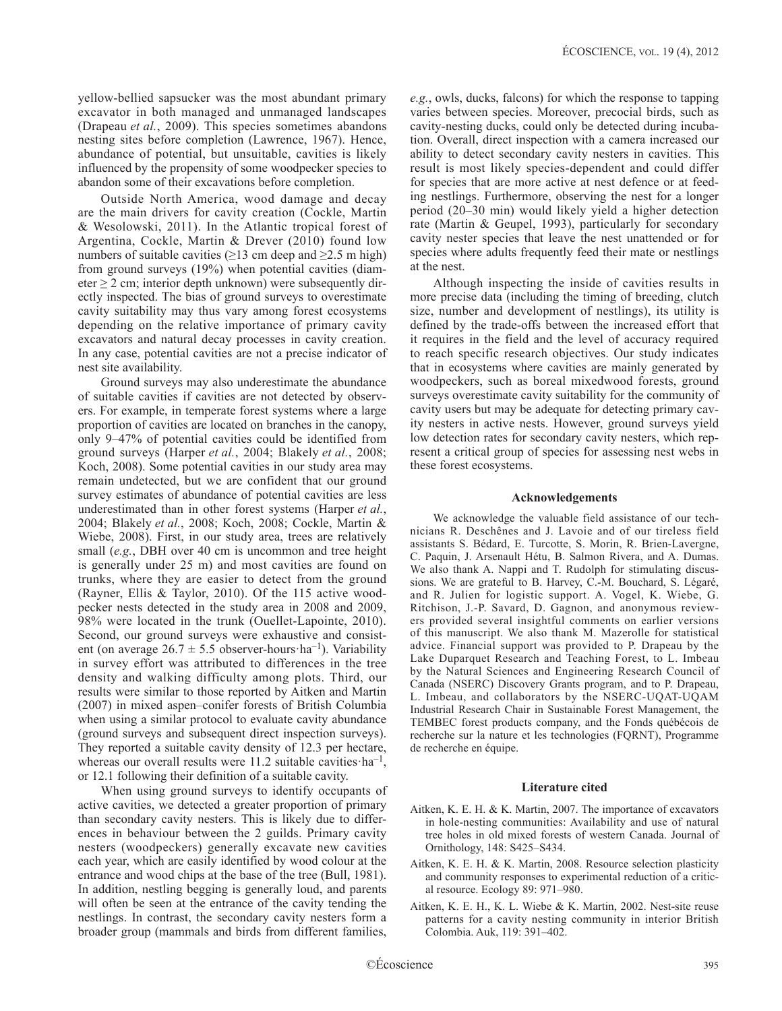yellow-bellied sapsucker was the most abundant primary excavator in both managed and unmanaged landscapes (Drapeau *et al.*, 2009). This species sometimes abandons nesting sites before completion (Lawrence, 1967). Hence, abundance of potential, but unsuitable, cavities is likely influenced by the propensity of some woodpecker species to abandon some of their excavations before completion.

Outside North America, wood damage and decay are the main drivers for cavity creation (Cockle, Martin & Wesolowski, 2011). In the Atlantic tropical forest of Argentina, Cockle, Martin & Drever (2010) found low numbers of suitable cavities ( $\geq$ 13 cm deep and  $\geq$ 2.5 m high) from ground surveys (19%) when potential cavities (diameter  $\geq 2$  cm; interior depth unknown) were subsequently directly inspected. The bias of ground surveys to overestimate cavity suitability may thus vary among forest ecosystems depending on the relative importance of primary cavity excavators and natural decay processes in cavity creation. In any case, potential cavities are not a precise indicator of nest site availability.

Ground surveys may also underestimate the abundance of suitable cavities if cavities are not detected by observers. For example, in temperate forest systems where a large proportion of cavities are located on branches in the canopy, only 9–47% of potential cavities could be identified from ground surveys (Harper *et al.*, 2004; Blakely *et al.*, 2008; Koch, 2008). Some potential cavities in our study area may remain undetected, but we are confident that our ground survey estimates of abundance of potential cavities are less underestimated than in other forest systems (Harper *et al.*, 2004; Blakely *et al.*, 2008; Koch, 2008; Cockle, Martin & Wiebe, 2008). First, in our study area, trees are relatively small (*e.g.*, DBH over 40 cm is uncommon and tree height is generally under 25 m) and most cavities are found on trunks, where they are easier to detect from the ground (Rayner, Ellis & Taylor, 2010). Of the 115 active woodpecker nests detected in the study area in 2008 and 2009, 98% were located in the trunk (Ouellet-Lapointe, 2010). Second, our ground surveys were exhaustive and consistent (on average  $26.7 \pm 5.5$  observer-hours ha<sup>-1</sup>). Variability in survey effort was attributed to differences in the tree density and walking difficulty among plots. Third, our results were similar to those reported by Aitken and Martin (2007) in mixed aspen–conifer forests of British Columbia when using a similar protocol to evaluate cavity abundance (ground surveys and subsequent direct inspection surveys). They reported a suitable cavity density of 12.3 per hectare, whereas our overall results were 11.2 suitable cavities  $ha^{-1}$ , or 12.1 following their definition of a suitable cavity.

When using ground surveys to identify occupants of active cavities, we detected a greater proportion of primary than secondary cavity nesters. This is likely due to differences in behaviour between the 2 guilds. Primary cavity nesters (woodpeckers) generally excavate new cavities each year, which are easily identified by wood colour at the entrance and wood chips at the base of the tree (Bull, 1981). In addition, nestling begging is generally loud, and parents will often be seen at the entrance of the cavity tending the nestlings. In contrast, the secondary cavity nesters form a broader group (mammals and birds from different families,

*e.g.*, owls, ducks, falcons) for which the response to tapping varies between species. Moreover, precocial birds, such as cavity-nesting ducks, could only be detected during incubation. Overall, direct inspection with a camera increased our ability to detect secondary cavity nesters in cavities. This result is most likely species-dependent and could differ for species that are more active at nest defence or at feeding nestlings. Furthermore, observing the nest for a longer period (20–30 min) would likely yield a higher detection rate (Martin & Geupel, 1993), particularly for secondary cavity nester species that leave the nest unattended or for species where adults frequently feed their mate or nestlings at the nest.

Although inspecting the inside of cavities results in more precise data (including the timing of breeding, clutch size, number and development of nestlings), its utility is defined by the trade-offs between the increased effort that it requires in the field and the level of accuracy required to reach specific research objectives. Our study indicates that in ecosystems where cavities are mainly generated by woodpeckers, such as boreal mixedwood forests, ground surveys overestimate cavity suitability for the community of cavity users but may be adequate for detecting primary cavity nesters in active nests. However, ground surveys yield low detection rates for secondary cavity nesters, which represent a critical group of species for assessing nest webs in these forest ecosystems.

#### **Acknowledgements**

We acknowledge the valuable field assistance of our technicians R. Deschênes and J. Lavoie and of our tireless field assistants S. Bédard, E. Turcotte, S. Morin, R. Brien-Lavergne, C. Paquin, J. Arsenault Hétu, B. Salmon Rivera, and A. Dumas. We also thank A. Nappi and T. Rudolph for stimulating discussions. We are grateful to B. Harvey, C.-M. Bouchard, S. Légaré, and R. Julien for logistic support. A. Vogel, K. Wiebe, G. Ritchison, J.-P. Savard, D. Gagnon, and anonymous reviewers provided several insightful comments on earlier versions of this manuscript. We also thank M. Mazerolle for statistical advice. Financial support was provided to P. Drapeau by the Lake Duparquet Research and Teaching Forest, to L. Imbeau by the Natural Sciences and Engineering Research Council of Canada (NSERC) Discovery Grants program, and to P. Drapeau, L. Imbeau, and collaborators by the NSERC-UQAT-UQAM Industrial Research Chair in Sustainable Forest Management, the TEMBEC forest products company, and the Fonds québécois de recherche sur la nature et les technologies (FQRNT), Programme de recherche en équipe.

#### **Literature cited**

- Aitken, K. E. H. & K. Martin, 2007. The importance of excavators in hole-nesting communities: Availability and use of natural tree holes in old mixed forests of western Canada. Journal of Ornithology, 148: S425–S434.
- Aitken, K. E. H. & K. Martin, 2008. Resource selection plasticity and community responses to experimental reduction of a critical resource. Ecology 89: 971–980.
- Aitken, K. E. H., K. L. Wiebe & K. Martin, 2002. Nest-site reuse patterns for a cavity nesting community in interior British Colombia. Auk, 119: 391–402.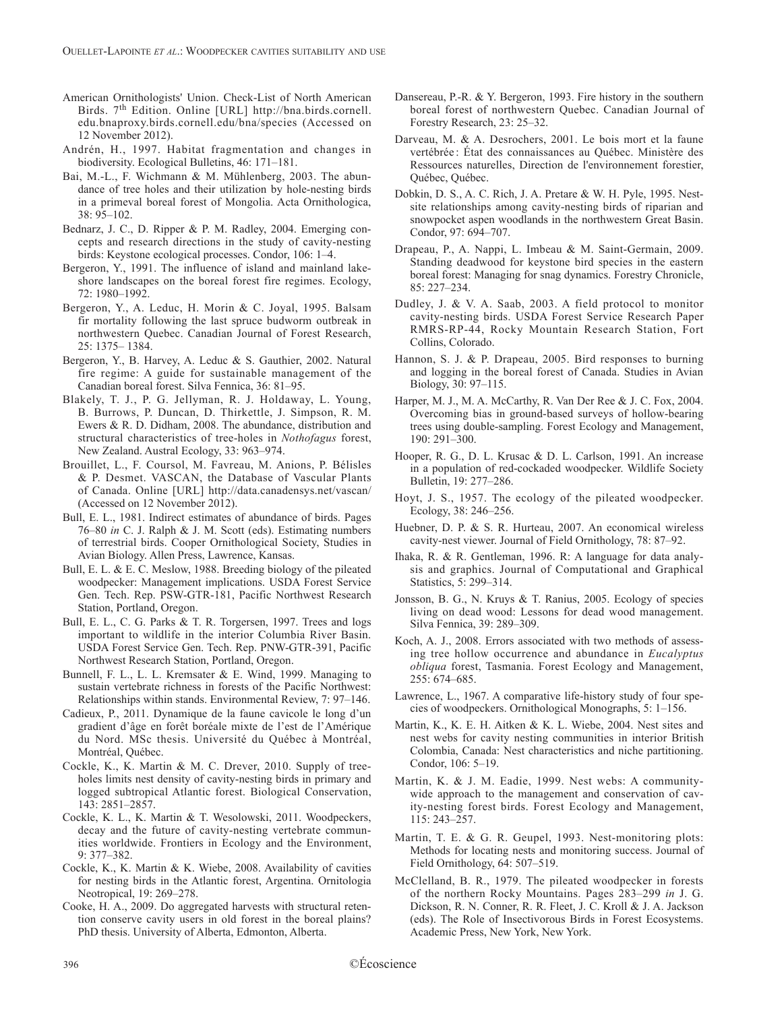- American Ornithologists' Union. Check-List of North American Birds. 7th Edition. Online [URL] http://bna.birds.cornell. edu.bnaproxy.birds.cornell.edu/bna/species (Accessed on 12 November 2012).
- Andrén, H., 1997. Habitat fragmentation and changes in biodiversity. Ecological Bulletins, 46: 171–181.
- Bai, M.-L., F. Wichmann & M. Mühlenberg, 2003. The abundance of tree holes and their utilization by hole-nesting birds in a primeval boreal forest of Mongolia. Acta Ornithologica, 38: 95–102.
- Bednarz, J. C., D. Ripper & P. M. Radley, 2004. Emerging concepts and research directions in the study of cavity-nesting birds: Keystone ecological processes. Condor, 106: 1–4.
- Bergeron, Y., 1991. The influence of island and mainland lakeshore landscapes on the boreal forest fire regimes. Ecology, 72: 1980–1992.
- Bergeron, Y., A. Leduc, H. Morin & C. Joyal, 1995. Balsam fir mortality following the last spruce budworm outbreak in northwestern Quebec. Canadian Journal of Forest Research, 25: 1375– 1384.
- Bergeron, Y., B. Harvey, A. Leduc & S. Gauthier, 2002. Natural fire regime: A guide for sustainable management of the Canadian boreal forest. Silva Fennica, 36: 81–95.
- Blakely, T. J., P. G. Jellyman, R. J. Holdaway, L. Young, B. Burrows, P. Duncan, D. Thirkettle, J. Simpson, R. M. Ewers & R. D. Didham, 2008. The abundance, distribution and structural characteristics of tree-holes in *Nothofagus* forest, New Zealand. Austral Ecology, 33: 963–974.
- Brouillet, L., F. Coursol, M. Favreau, M. Anions, P. Bélisles & P. Desmet. VASCAN, the Database of Vascular Plants of Canada. Online [URL] http://data.canadensys.net/vascan/ (Accessed on 12 November 2012).
- Bull, E. L., 1981. Indirect estimates of abundance of birds. Pages 76–80 *in* C. J. Ralph & J. M. Scott (eds). Estimating numbers of terrestrial birds. Cooper Ornithological Society, Studies in Avian Biology. Allen Press, Lawrence, Kansas.
- Bull, E. L. & E. C. Meslow, 1988. Breeding biology of the pileated woodpecker: Management implications. USDA Forest Service Gen. Tech. Rep. PSW-GTR-181, Pacific Northwest Research Station, Portland, Oregon.
- Bull, E. L., C. G. Parks & T. R. Torgersen, 1997. Trees and logs important to wildlife in the interior Columbia River Basin. USDA Forest Service Gen. Tech. Rep. PNW-GTR-391, Pacific Northwest Research Station, Portland, Oregon.
- Bunnell, F. L., L. L. Kremsater & E. Wind, 1999. Managing to sustain vertebrate richness in forests of the Pacific Northwest: Relationships within stands. Environmental Review, 7: 97–146.
- Cadieux, P., 2011. Dynamique de la faune cavicole le long d'un gradient d'âge en forêt boréale mixte de l'est de l'Amérique du Nord. MSc thesis. Université du Québec à Montréal, Montréal, Québec.
- Cockle, K., K. Martin & M. C. Drever, 2010. Supply of treeholes limits nest density of cavity-nesting birds in primary and logged subtropical Atlantic forest. Biological Conservation, 143: 2851–2857.
- Cockle, K. L., K. Martin & T. Wesolowski, 2011. Woodpeckers, decay and the future of cavity-nesting vertebrate communities worldwide. Frontiers in Ecology and the Environment, 9: 377–382.
- Cockle, K., K. Martin & K. Wiebe, 2008. Availability of cavities for nesting birds in the Atlantic forest, Argentina. Ornitologia Neotropical, 19: 269–278.
- Cooke, H. A., 2009. Do aggregated harvests with structural retention conserve cavity users in old forest in the boreal plains? PhD thesis. University of Alberta, Edmonton, Alberta.
- Dansereau, P.-R. & Y. Bergeron, 1993. Fire history in the southern boreal forest of northwestern Quebec. Canadian Journal of Forestry Research, 23: 25–32.
- Darveau, M. & A. Desrochers, 2001. Le bois mort et la faune vertébrée : État des connaissances au Québec. Ministère des Ressources naturelles, Direction de l'environnement forestier, Québec, Québec.
- Dobkin, D. S., A. C. Rich, J. A. Pretare & W. H. Pyle, 1995. Nestsite relationships among cavity-nesting birds of riparian and snowpocket aspen woodlands in the northwestern Great Basin. Condor, 97: 694–707.
- Drapeau, P., A. Nappi, L. Imbeau & M. Saint-Germain, 2009. Standing deadwood for keystone bird species in the eastern boreal forest: Managing for snag dynamics. Forestry Chronicle, 85: 227–234.
- Dudley, J. & V. A. Saab, 2003. A field protocol to monitor cavity-nesting birds. USDA Forest Service Research Paper RMRS-RP-44, Rocky Mountain Research Station, Fort Collins, Colorado.
- Hannon, S. J. & P. Drapeau, 2005. Bird responses to burning and logging in the boreal forest of Canada. Studies in Avian Biology, 30: 97–115.
- Harper, M. J., M. A. McCarthy, R. Van Der Ree & J. C. Fox, 2004. Overcoming bias in ground-based surveys of hollow-bearing trees using double-sampling. Forest Ecology and Management, 190: 291–300.
- Hooper, R. G., D. L. Krusac & D. L. Carlson, 1991. An increase in a population of red-cockaded woodpecker. Wildlife Society Bulletin, 19: 277–286.
- Hoyt, J. S., 1957. The ecology of the pileated woodpecker. Ecology, 38: 246–256.
- Huebner, D. P. & S. R. Hurteau, 2007. An economical wireless cavity-nest viewer. Journal of Field Ornithology, 78: 87–92.
- Ihaka, R. & R. Gentleman, 1996. R: A language for data analysis and graphics. Journal of Computational and Graphical Statistics, 5: 299–314.
- Jonsson, B. G., N. Kruys & T. Ranius, 2005. Ecology of species living on dead wood: Lessons for dead wood management. Silva Fennica, 39: 289–309.
- Koch, A. J., 2008. Errors associated with two methods of assessing tree hollow occurrence and abundance in *Eucalyptus obliqua* forest, Tasmania. Forest Ecology and Management, 255: 674–685.
- Lawrence, L., 1967. A comparative life-history study of four species of woodpeckers. Ornithological Monographs, 5: 1–156.
- Martin, K., K. E. H. Aitken & K. L. Wiebe, 2004. Nest sites and nest webs for cavity nesting communities in interior British Colombia, Canada: Nest characteristics and niche partitioning. Condor, 106: 5–19.
- Martin, K. & J. M. Eadie, 1999. Nest webs: A communitywide approach to the management and conservation of cavity-nesting forest birds. Forest Ecology and Management, 115: 243–257.
- Martin, T. E. & G. R. Geupel, 1993. Nest-monitoring plots: Methods for locating nests and monitoring success. Journal of Field Ornithology, 64: 507–519.
- McClelland, B. R., 1979. The pileated woodpecker in forests of the northern Rocky Mountains. Pages 283–299 *in* J. G. Dickson, R. N. Conner, R. R. Fleet, J. C. Kroll & J. A. Jackson (eds). The Role of Insectivorous Birds in Forest Ecosystems. Academic Press, New York, New York.